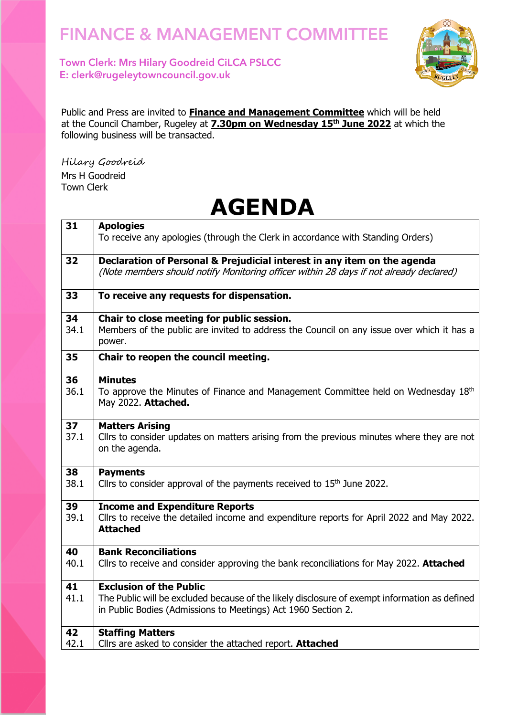Town Clerk: Mrs Hilary Goodreid CiLCA PSLCC E: clerk@rugeleytowncouncil.gov.uk



Public and Press are invited to **Finance and Management Committee** which will be held at the Council Chamber, Rugeley at **7.30pm on Wednesday 15 th June 2022** at which the following business will be transacted.

Hilary Goodreid Mrs H Goodreid Town Clerk

|      | AJLIIVA                                                                                                     |
|------|-------------------------------------------------------------------------------------------------------------|
| 31   | <b>Apologies</b>                                                                                            |
|      | To receive any apologies (through the Clerk in accordance with Standing Orders)                             |
| 32   | Declaration of Personal & Prejudicial interest in any item on the agenda                                    |
|      | (Note members should notify Monitoring officer within 28 days if not already declared)                      |
| 33   | To receive any requests for dispensation.                                                                   |
| 34   | Chair to close meeting for public session.                                                                  |
| 34.1 | Members of the public are invited to address the Council on any issue over which it has a<br>power.         |
| 35   | Chair to reopen the council meeting.                                                                        |
| 36   | <b>Minutes</b>                                                                                              |
| 36.1 | To approve the Minutes of Finance and Management Committee held on Wednesday 18th                           |
|      | May 2022. Attached.                                                                                         |
| 37   | <b>Matters Arising</b>                                                                                      |
| 37.1 | Cllrs to consider updates on matters arising from the previous minutes where they are not<br>on the agenda. |
| 38   | <b>Payments</b>                                                                                             |
| 38.1 | Cllrs to consider approval of the payments received to 15 <sup>th</sup> June 2022.                          |
| 39   | <b>Income and Expenditure Reports</b>                                                                       |
| 39.1 | Cllrs to receive the detailed income and expenditure reports for April 2022 and May 2022.                   |
|      | <b>Attached</b>                                                                                             |
| 40   | <b>Bank Reconciliations</b>                                                                                 |
| 40.1 | Cllrs to receive and consider approving the bank reconciliations for May 2022. Attached                     |
| 41   | <b>Exclusion of the Public</b>                                                                              |
| 41.1 | The Public will be excluded because of the likely disclosure of exempt information as defined               |
|      | in Public Bodies (Admissions to Meetings) Act 1960 Section 2.                                               |
| 42   | <b>Staffing Matters</b>                                                                                     |
| 42.1 | Cllrs are asked to consider the attached report. Attached                                                   |

## **AGENDA**